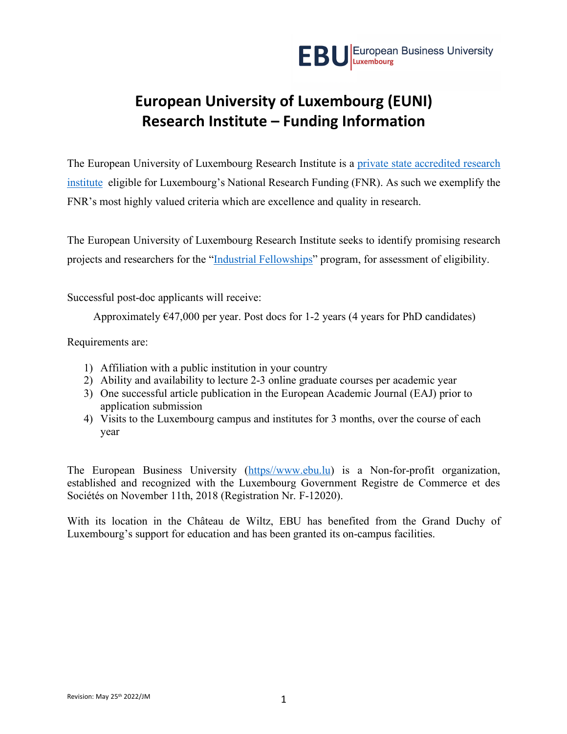# **European University of Luxembourg (EUNI) Research Institute – Funding Information**

The European University of Luxembourg Research Institute is a private state accredited research institute eligible for Luxembourg's National Research Funding (FNR). As such we exemplify the FNR's most highly valued criteria which are excellence and quality in research.

The European University of Luxembourg Research Institute seeks to identify promising research projects and researchers for the "Industrial Fellowships" program, for assessment of eligibility.

Successful post-doc applicants will receive:

Approximately  $\epsilon$ 47,000 per year. Post docs for 1-2 years (4 years for PhD candidates)

Requirements are:

- 1) Affiliation with a public institution in your country
- 2) Ability and availability to lecture 2-3 online graduate courses per academic year
- 3) One successful article publication in the European Academic Journal (EAJ) prior to application submission
- 4) Visits to the Luxembourg campus and institutes for 3 months, over the course of each year

The European Business University (https//www.ebu.lu) is a Non-for-profit organization, established and recognized with the Luxembourg Government Registre de Commerce et des Sociétés on November 11th, 2018 (Registration Nr. F-12020).

With its location in the Château de Wiltz, EBU has benefited from the Grand Duchy of Luxembourg's support for education and has been granted its on-campus facilities.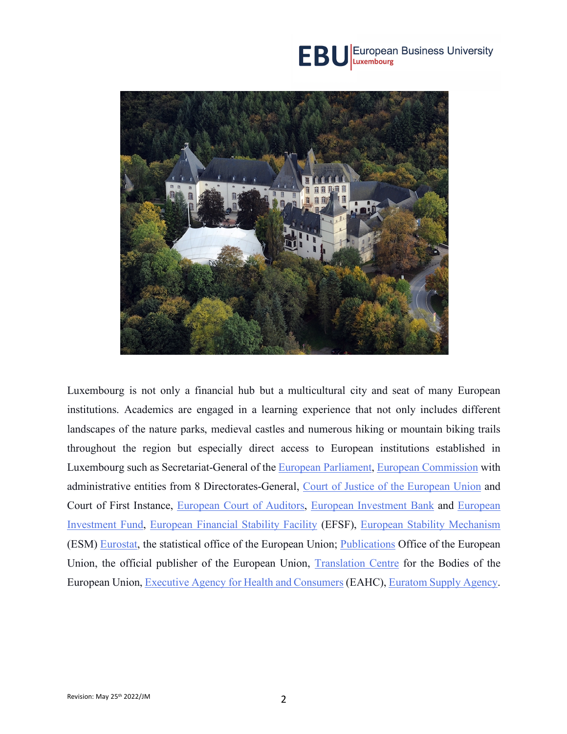



Luxembourg is not only a financial hub but a multicultural city and seat of many European institutions. Academics are engaged in a learning experience that not only includes different landscapes of the nature parks, medieval castles and numerous hiking or mountain biking trails throughout the region but especially direct access to European institutions established in Luxembourg such as Secretariat-General of the European Parliament, European Commission with administrative entities from 8 Directorates-General, Court of Justice of the European Union and Court of First Instance, European Court of Auditors, European Investment Bank and European Investment Fund, European Financial Stability Facility (EFSF), European Stability Mechanism (ESM) Eurostat, the statistical office of the European Union; Publications Office of the European Union, the official publisher of the European Union, Translation Centre for the Bodies of the European Union, Executive Agency for Health and Consumers (EAHC), Euratom Supply Agency.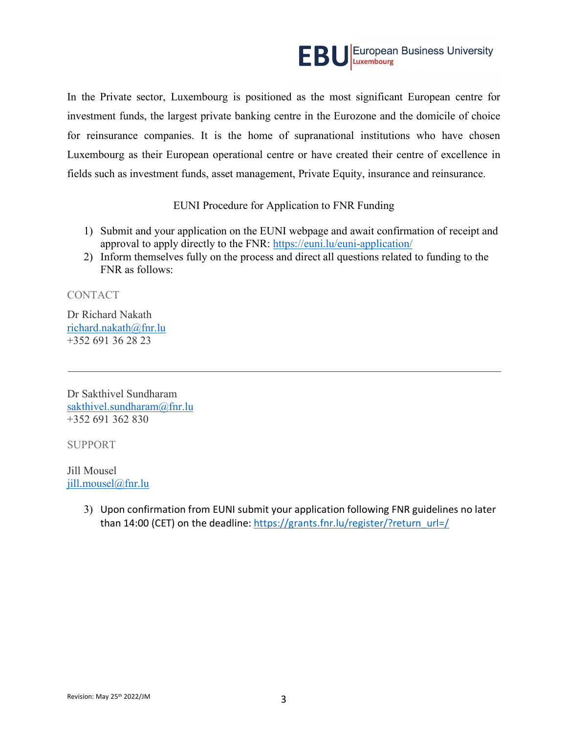

In the Private sector, Luxembourg is positioned as the most significant European centre for investment funds, the largest private banking centre in the Eurozone and the domicile of choice for reinsurance companies. It is the home of supranational institutions who have chosen Luxembourg as their European operational centre or have created their centre of excellence in fields such as investment funds, asset management, Private Equity, insurance and reinsurance.

#### EUNI Procedure for Application to FNR Funding

- 1) Submit and your application on the EUNI webpage and await confirmation of receipt and approval to apply directly to the FNR: https://euni.lu/euni-application/
- 2) Inform themselves fully on the process and direct all questions related to funding to the FNR as follows:

CONTACT

Dr Richard Nakath richard.nakath@fnr.lu +352 691 36 28 23

Dr Sakthivel Sundharam sakthivel.sundharam@fnr.lu +352 691 362 830

SUPPORT

Jill Mousel jill.mousel@fnr.lu

> 3) Upon confirmation from EUNI submit your application following FNR guidelines no later than 14:00 (CET) on the deadline: https://grants.fnr.lu/register/?return\_url=/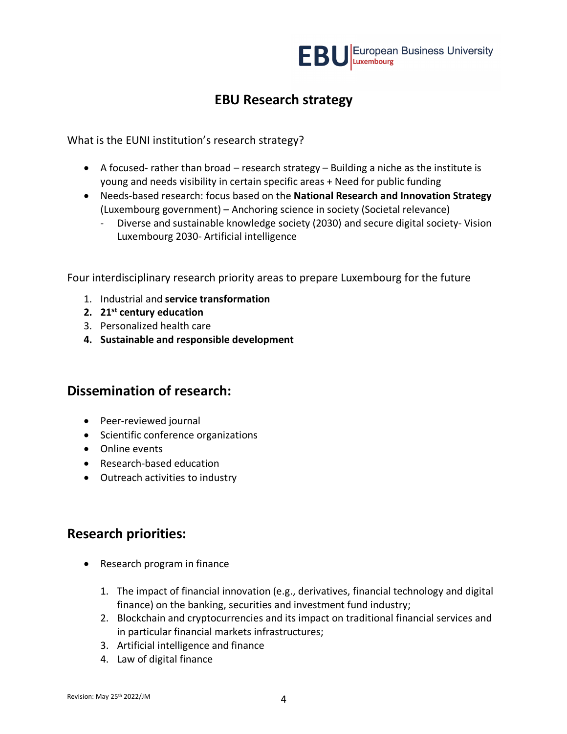

# **EBU Research strategy**

What is the EUNI institution's research strategy?

- A focused- rather than broad research strategy Building a niche as the institute is young and needs visibility in certain specific areas + Need for public funding
- Needs-based research: focus based on the **National Research and Innovation Strategy** (Luxembourg government) – Anchoring science in society (Societal relevance)
	- Diverse and sustainable knowledge society (2030) and secure digital society- Vision Luxembourg 2030- Artificial intelligence

Four interdisciplinary research priority areas to prepare Luxembourg for the future

- 1. Industrial and **service transformation**
- **2. 21st century education**
- 3. Personalized health care
- **4. Sustainable and responsible development**

## **Dissemination of research:**

- Peer-reviewed journal
- Scientific conference organizations
- Online events
- Research-based education
- Outreach activities to industry

### **Research priorities:**

- Research program in finance
	- 1. The impact of financial innovation (e.g., derivatives, financial technology and digital finance) on the banking, securities and investment fund industry;
	- 2. Blockchain and cryptocurrencies and its impact on traditional financial services and in particular financial markets infrastructures;
	- 3. Artificial intelligence and finance
	- 4. Law of digital finance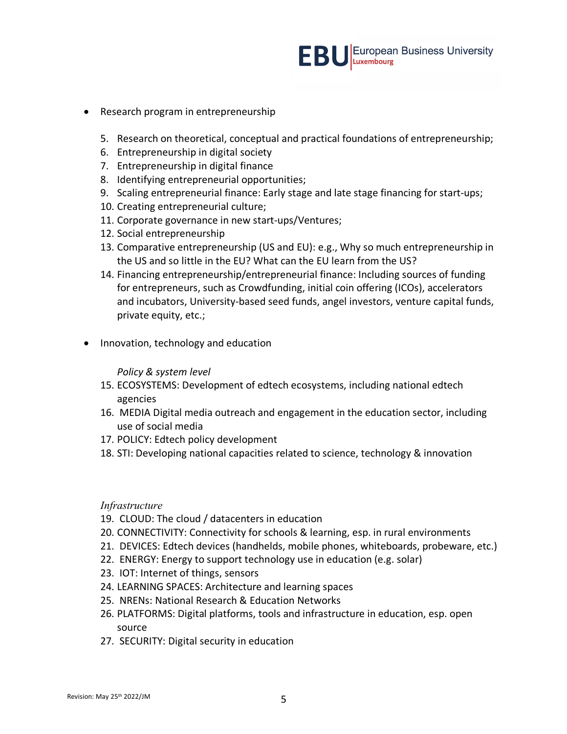

- Research program in entrepreneurship
	- 5. Research on theoretical, conceptual and practical foundations of entrepreneurship;
	- 6. Entrepreneurship in digital society
	- 7. Entrepreneurship in digital finance
	- 8. Identifying entrepreneurial opportunities;
	- 9. Scaling entrepreneurial finance: Early stage and late stage financing for start-ups;
	- 10. Creating entrepreneurial culture;
	- 11. Corporate governance in new start-ups/Ventures;
	- 12. Social entrepreneurship
	- 13. Comparative entrepreneurship (US and EU): e.g., Why so much entrepreneurship in the US and so little in the EU? What can the EU learn from the US?
	- 14. Financing entrepreneurship/entrepreneurial finance: Including sources of funding for entrepreneurs, such as Crowdfunding, initial coin offering (ICOs), accelerators and incubators, University-based seed funds, angel investors, venture capital funds, private equity, etc.;
- Innovation, technology and education

#### *Policy & system level*

- 15. ECOSYSTEMS: Development of edtech ecosystems, including national edtech agencies
- 16. MEDIA Digital media outreach and engagement in the education sector, including use of social media
- 17. POLICY: Edtech policy development
- 18. STI: Developing national capacities related to science, technology & innovation

#### *Infrastructure*

- 19. CLOUD: The cloud / datacenters in education
- 20. CONNECTIVITY: Connectivity for schools & learning, esp. in rural environments
- 21. DEVICES: Edtech devices (handhelds, mobile phones, whiteboards, probeware, etc.)
- 22. ENERGY: Energy to support technology use in education (e.g. solar)
- 23. IOT: Internet of things, sensors
- 24. LEARNING SPACES: Architecture and learning spaces
- 25. NRENs: National Research & Education Networks
- 26. PLATFORMS: Digital platforms, tools and infrastructure in education, esp. open source
- 27. SECURITY: Digital security in education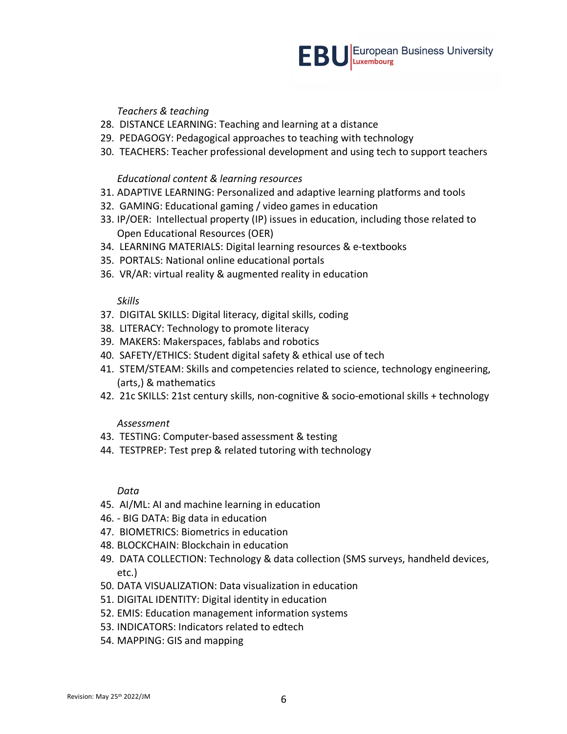#### *Teachers & teaching*

- 28. DISTANCE LEARNING: Teaching and learning at a distance
- 29. PEDAGOGY: Pedagogical approaches to teaching with technology
- 30. TEACHERS: Teacher professional development and using tech to support teachers

#### *Educational content & learning resources*

- 31. ADAPTIVE LEARNING: Personalized and adaptive learning platforms and tools
- 32. GAMING: Educational gaming / video games in education
- 33. IP/OER: Intellectual property (IP) issues in education, including those related to Open Educational Resources (OER)
- 34. LEARNING MATERIALS: Digital learning resources & e-textbooks
- 35. PORTALS: National online educational portals
- 36. VR/AR: virtual reality & augmented reality in education

#### *Skills*

- 37. DIGITAL SKILLS: Digital literacy, digital skills, coding
- 38. LITERACY: Technology to promote literacy
- 39. MAKERS: Makerspaces, fablabs and robotics
- 40. SAFETY/ETHICS: Student digital safety & ethical use of tech
- 41. STEM/STEAM: Skills and competencies related to science, technology engineering, (arts,) & mathematics
- 42. 21c SKILLS: 21st century skills, non-cognitive & socio-emotional skills + technology

#### *Assessment*

- 43. TESTING: Computer-based assessment & testing
- 44. TESTPREP: Test prep & related tutoring with technology

#### *Data*

- 45. AI/ML: AI and machine learning in education
- 46. BIG DATA: Big data in education
- 47. BIOMETRICS: Biometrics in education
- 48. BLOCKCHAIN: Blockchain in education
- 49. DATA COLLECTION: Technology & data collection (SMS surveys, handheld devices, etc.)
- 50. DATA VISUALIZATION: Data visualization in education
- 51. DIGITAL IDENTITY: Digital identity in education
- 52. EMIS: Education management information systems
- 53. INDICATORS: Indicators related to edtech
- 54. MAPPING: GIS and mapping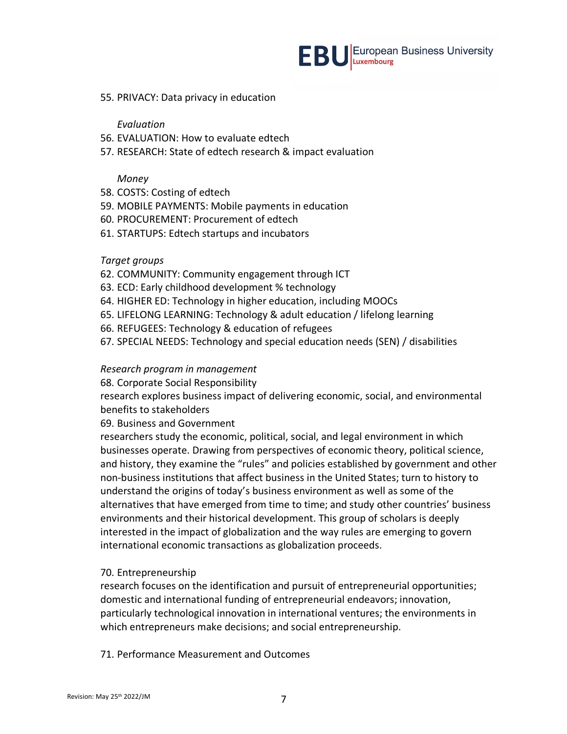

#### 55. PRIVACY: Data privacy in education

*Evaluation*

- 56. EVALUATION: How to evaluate edtech
- 57. RESEARCH: State of edtech research & impact evaluation

#### *Money*

- 58. COSTS: Costing of edtech
- 59. MOBILE PAYMENTS: Mobile payments in education
- 60. PROCUREMENT: Procurement of edtech
- 61. STARTUPS: Edtech startups and incubators

#### *Target groups*

- 62. COMMUNITY: Community engagement through ICT
- 63. ECD: Early childhood development % technology
- 64. HIGHER ED: Technology in higher education, including MOOCs
- 65. LIFELONG LEARNING: Technology & adult education / lifelong learning
- 66. REFUGEES: Technology & education of refugees
- 67. SPECIAL NEEDS: Technology and special education needs (SEN) / disabilities

#### *Research program in management*

68. Corporate Social Responsibility

research explores business impact of delivering economic, social, and environmental benefits to stakeholders

69. Business and Government

researchers study the economic, political, social, and legal environment in which businesses operate. Drawing from perspectives of economic theory, political science, and history, they examine the "rules" and policies established by government and other non-business institutions that affect business in the United States; turn to history to understand the origins of today's business environment as well as some of the alternatives that have emerged from time to time; and study other countries' business environments and their historical development. This group of scholars is deeply interested in the impact of globalization and the way rules are emerging to govern international economic transactions as globalization proceeds.

#### 70. Entrepreneurship

research focuses on the identification and pursuit of entrepreneurial opportunities; domestic and international funding of entrepreneurial endeavors; innovation, particularly technological innovation in international ventures; the environments in which entrepreneurs make decisions; and social entrepreneurship.

71. Performance Measurement and Outcomes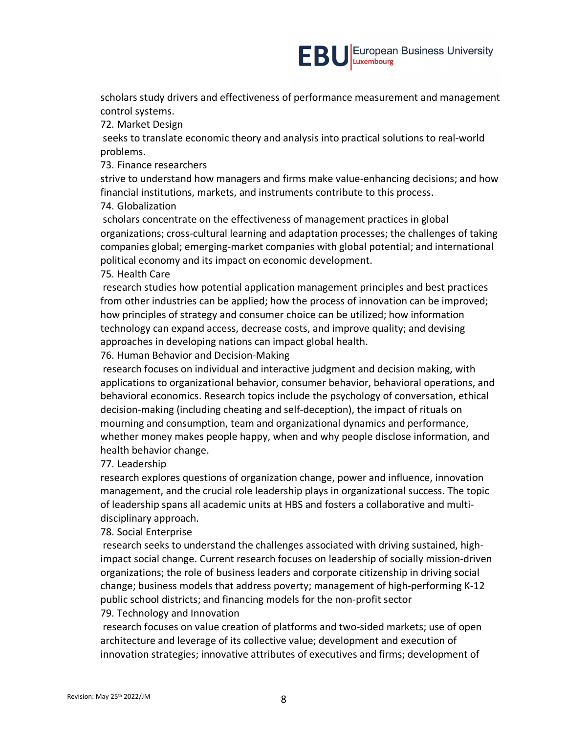scholars study drivers and effectiveness of performance measurement and management control systems.

72. Market Design

seeks to translate economic theory and analysis into practical solutions to real-world problems.

73. Finance researchers

strive to understand how managers and firms make value-enhancing decisions; and how financial institutions, markets, and instruments contribute to this process.

74. Globalization

scholars concentrate on the effectiveness of management practices in global organizations; cross-cultural learning and adaptation processes; the challenges of taking companies global; emerging-market companies with global potential; and international political economy and its impact on economic development.

#### 75. Health Care

research studies how potential application management principles and best practices from other industries can be applied; how the process of innovation can be improved; how principles of strategy and consumer choice can be utilized; how information technology can expand access, decrease costs, and improve quality; and devising approaches in developing nations can impact global health.

76. Human Behavior and Decision-Making

research focuses on individual and interactive judgment and decision making, with applications to organizational behavior, consumer behavior, behavioral operations, and behavioral economics. Research topics include the psychology of conversation, ethical decision-making (including cheating and self-deception), the impact of rituals on mourning and consumption, team and organizational dynamics and performance, whether money makes people happy, when and why people disclose information, and health behavior change.

77. Leadership

research explores questions of organization change, power and influence, innovation management, and the crucial role leadership plays in organizational success. The topic of leadership spans all academic units at HBS and fosters a collaborative and multidisciplinary approach.

78. Social Enterprise

research seeks to understand the challenges associated with driving sustained, highimpact social change. Current research focuses on leadership of socially mission-driven organizations; the role of business leaders and corporate citizenship in driving social change; business models that address poverty; management of high-performing K-12 public school districts; and financing models for the non-profit sector

79. Technology and Innovation

research focuses on value creation of platforms and two-sided markets; use of open architecture and leverage of its collective value; development and execution of innovation strategies; innovative attributes of executives and firms; development of